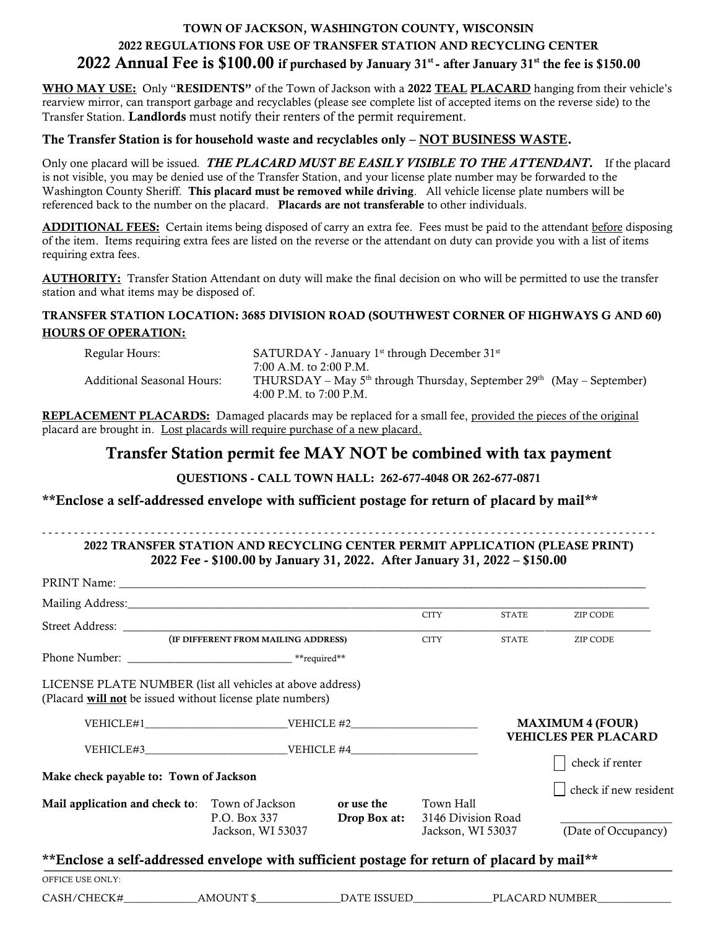## TOWN OF JACKSON, WASHINGTON COUNTY, WISCONSIN 2022 REGULATIONS FOR USE OF TRANSFER STATION AND RECYCLING CENTER  $\,$  2022 Annual Fee is  $\$100.00$  if purchased by January 31st - after January 31st the fee is \$150.00  $\,$

WHO MAY USE: Only "RESIDENTS" of the Town of Jackson with a 2022 TEAL PLACARD hanging from their vehicle's rearview mirror, can transport garbage and recyclables (please see complete list of accepted items on the reverse side) to the Transfer Station. Landlords must notify their renters of the permit requirement.

#### The Transfer Station is for household waste and recyclables only – NOT BUSINESS WASTE.

Only one placard will be issued*. THE PLACARD MUST BE EASILY VISIBLE TO THE ATTENDANT.* If the placard is not visible, you may be denied use of the Transfer Station, and your license plate number may be forwarded to the Washington County Sheriff. This placard must be removed while driving. All vehicle license plate numbers will be referenced back to the number on the placard. Placards are not transferable to other individuals.

ADDITIONAL FEES: Certain items being disposed of carry an extra fee. Fees must be paid to the attendant before disposing of the item. Items requiring extra fees are listed on the reverse or the attendant on duty can provide you with a list of items requiring extra fees.

AUTHORITY: Transfer Station Attendant on duty will make the final decision on who will be permitted to use the transfer station and what items may be disposed of.

### TRANSFER STATION LOCATION: 3685 DIVISION ROAD (SOUTHWEST CORNER OF HIGHWAYS G AND 60) HOURS OF OPERATION:

| Regular Hours:             | $SATURDAY$ - January 1 <sup>st</sup> through December 31 <sup>st</sup>                                        |  |  |  |
|----------------------------|---------------------------------------------------------------------------------------------------------------|--|--|--|
|                            | 7:00 A.M. to 2:00 P.M.                                                                                        |  |  |  |
| Additional Seasonal Hours: | THURSDAY – May $5th$ through Thursday, September 29 <sup>th</sup> (May – September)<br>4:00 P.M. to 7:00 P.M. |  |  |  |

REPLACEMENT PLACARDS: Damaged placards may be replaced for a small fee, provided the pieces of the original placard are brought in. Lost placards will require purchase of a new placard.

# Transfer Station permit fee MAY NOT be combined with tax payment

#### QUESTIONS - CALL TOWN HALL: 262-677-4048 OR 262-677-0871

### \*\*Enclose a self-addressed envelope with sufficient postage for return ofplacard by mail\*\*

#### - - - - - - - - - - - - - - - - - - - - - - - - - - - - - - - - - - - - - - - - - - - - - - - - - - - - - - - - - - - - - - - - - - - - - - - - - - - - - - - - - - - - - - - - - - - - - - - - 2022 TRANSFER STATION AND RECYCLING CENTER PERMIT APPLICATION (PLEASE PRINT) 2022 Fee - \$100.00 by January 31, 2022. After January 31, 2022 – \$150.00

|                                                                                                                         |                                     |                            | <b>CITY</b>                                          | <b>STATE</b>                                   | ZIP CODE                                     |
|-------------------------------------------------------------------------------------------------------------------------|-------------------------------------|----------------------------|------------------------------------------------------|------------------------------------------------|----------------------------------------------|
|                                                                                                                         | (IF DIFFERENT FROM MAILING ADDRESS) |                            | <b>CITY</b>                                          | <b>STATE</b>                                   | ZIP CODE                                     |
|                                                                                                                         |                                     |                            |                                                      |                                                |                                              |
| LICENSE PLATE NUMBER (list all vehicles at above address)<br>(Placard will not be issued without license plate numbers) |                                     |                            |                                                      |                                                |                                              |
| $VEHICLE#1$ $VEHICLE$ #2                                                                                                |                                     |                            |                                                      |                                                | <b>MAXIMUM 4 (FOUR)</b>                      |
| $VEHICLE#3$ $VEHICLE#4$<br>Make check payable to: Town of Jackson                                                       |                                     |                            |                                                      | <b>VEHICLES PER PLACARD</b><br>check if renter |                                              |
| Mail application and check to: Town of Jackson                                                                          | P.O. Box 337<br>Jackson, WI 53037   | or use the<br>Drop Box at: | Town Hall<br>3146 Division Road<br>Jackson, WI 53037 |                                                | check if new resident<br>(Date of Occupancy) |
| **Enclose a self-addressed envelope with sufficient postage for return of placard by mail**                             |                                     |                            |                                                      |                                                |                                              |
| OFFICE USE ONLY:                                                                                                        |                                     |                            |                                                      |                                                |                                              |
| CASH/CHECK#                                                                                                             | AMOUNT \$                           | DATE ISSUED                | PLACARD NUMBER                                       |                                                |                                              |